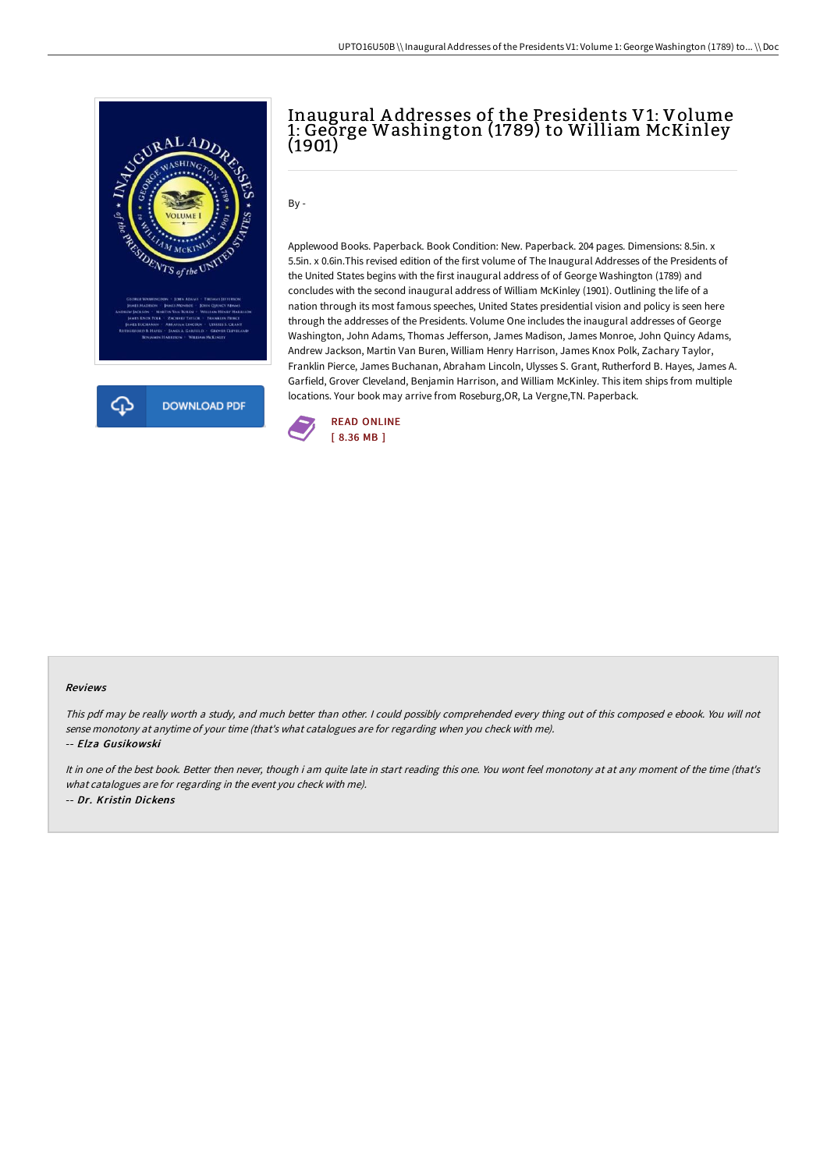

# Inaugural A ddresses of the Presidents V1: Volume 1: Geğrge Washington (1789) to William McKinley (1901)

By -

Applewood Books. Paperback. Book Condition: New. Paperback. 204 pages. Dimensions: 8.5in. x 5.5in. x 0.6in.This revised edition of the first volume of The Inaugural Addresses of the Presidents of the United States begins with the first inaugural address of of George Washington (1789) and concludes with the second inaugural address of William McKinley (1901). Outlining the life of a nation through its most famous speeches, United States presidential vision and policy is seen here through the addresses of the Presidents. Volume One includes the inaugural addresses of George Washington, John Adams, Thomas Jefferson, James Madison, James Monroe, John Quincy Adams, Andrew Jackson, Martin Van Buren, William Henry Harrison, James Knox Polk, Zachary Taylor, Franklin Pierce, James Buchanan, Abraham Lincoln, Ulysses S. Grant, Rutherford B. Hayes, James A. Garfield, Grover Cleveland, Benjamin Harrison, and William McKinley. This item ships from multiple locations. Your book may arrive from Roseburg,OR, La Vergne,TN. Paperback.



#### Reviews

This pdf may be really worth <sup>a</sup> study, and much better than other. <sup>I</sup> could possibly comprehended every thing out of this composed <sup>e</sup> ebook. You will not sense monotony at anytime of your time (that's what catalogues are for regarding when you check with me).

#### -- Elza Gusikowski

It in one of the best book. Better then never, though i am quite late in start reading this one. You wont feel monotony at at any moment of the time (that's what catalogues are for regarding in the event you check with me). -- Dr. Kristin Dickens